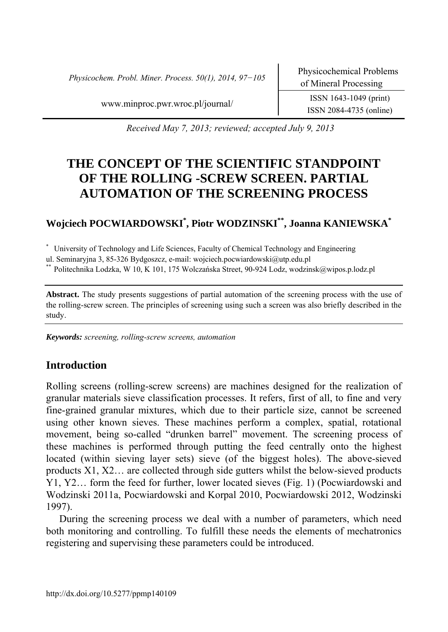*Physicochem. Probl. Miner. Process. 50(1), 2014, 97−105* Physicochemical Problems

www.minproc.pwr.wroc.pl/journal/ ISSN 1643-1049 (print)

ISSN 2084-4735 (online)

*Received May 7, 2013; reviewed; accepted July 9, 2013* 

# **THE CONCEPT OF THE SCIENTIFIC STANDPOINT OF THE ROLLING -SCREW SCREEN. PARTIAL AUTOMATION OF THE SCREENING PROCESS**

# **Wojciech POCWIARDOWSKI\* , Piotr WODZINSKI\*\*, Joanna KANIEWSKA\***

\* University of Technology and Life Sciences, Faculty of Chemical Technology and Engineering

ul. Seminaryjna 3, 85-326 Bydgoszcz, e-mail: wojciech.pocwiardowski@utp.edu.pl

\*\* Politechnika Lodzka, W 10, K 101, 175 Wolczańska Street, 90-924 Lodz, wodzinsk@wipos.p.lodz.pl

**Abstract.** The study presents suggestions of partial automation of the screening process with the use of the rolling-screw screen. The principles of screening using such a screen was also briefly described in the study.

*Keywords: screening, rolling-screw screens, automation* 

# **Introduction**

Rolling screens (rolling-screw screens) are machines designed for the realization of granular materials sieve classification processes. It refers, first of all, to fine and very fine-grained granular mixtures, which due to their particle size, cannot be screened using other known sieves. These machines perform a complex, spatial, rotational movement, being so-called "drunken barrel" movement. The screening process of these machines is performed through putting the feed centrally onto the highest located (within sieving layer sets) sieve (of the biggest holes). The above-sieved products X1, X2… are collected through side gutters whilst the below-sieved products Y1, Y2… form the feed for further, lower located sieves (Fig. 1) (Pocwiardowski and Wodzinski 2011a, Pocwiardowski and Korpal 2010, Pocwiardowski 2012, Wodzinski 1997).

During the screening process we deal with a number of parameters, which need both monitoring and controlling. To fulfill these needs the elements of mechatronics registering and supervising these parameters could be introduced.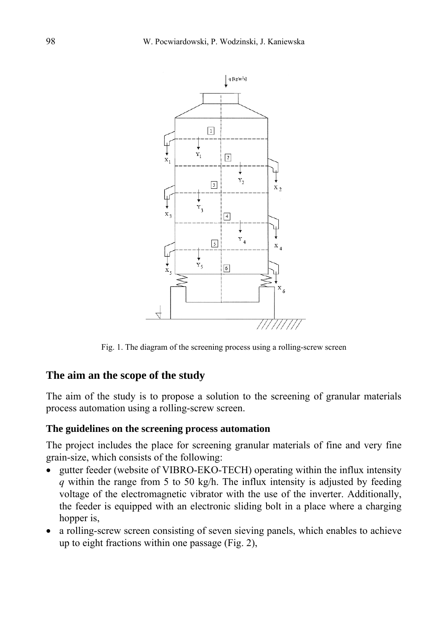

Fig. 1. The diagram of the screening process using a rolling-screw screen

#### **The aim an the scope of the study**

The aim of the study is to propose a solution to the screening of granular materials process automation using a rolling-screw screen.

#### **The guidelines on the screening process automation**

The project includes the place for screening granular materials of fine and very fine grain-size, which consists of the following:

- gutter feeder (website of VIBRO-EKO-TECH) operating within the influx intensity *q* within the range from 5 to 50 kg/h. The influx intensity is adjusted by feeding voltage of the electromagnetic vibrator with the use of the inverter. Additionally, the feeder is equipped with an electronic sliding bolt in a place where a charging hopper is,
- a rolling-screw screen consisting of seven sieving panels, which enables to achieve up to eight fractions within one passage (Fig. 2),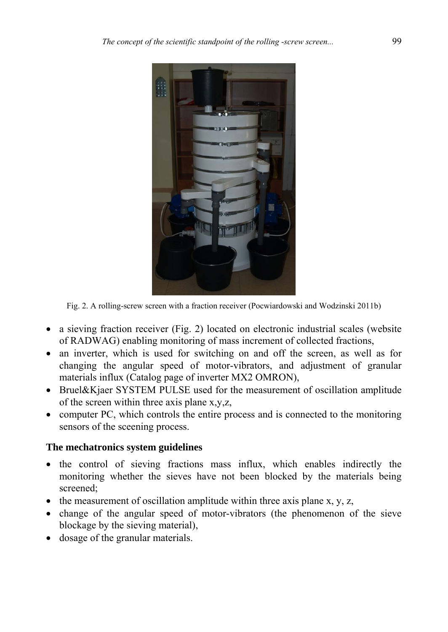

Fig. 2. A rolling-screw screen with a fraction receiver (Pocwiardowski and Wodzinski 2011b)

- a sieving fraction receiver (Fig. 2) located on electronic industrial scales (website of RADWAG) enabling monitoring of mass increment of collected fractions,
- an inverter, which is used for switching on and off the screen, as well as for changing the angular speed of motor-vibrators, and adjustment of granular materials influx (Catalog page of inverter MX2 OMRON),
- Bruel&Kjaer SYSTEM PULSE used for the measurement of oscillation amplitude of the screen within three axis plane x,y,z,
- computer PC, which controls the entire process and is connected to the monitoring sensors of the sceening process.

## **The mechatronics system guidelines**

- the control of sieving fractions mass influx, which enables indirectly the monitoring whether the sieves have not been blocked by the materials being screened;
- the measurement of oscillation amplitude within three axis plane  $x, y, z$ ,
- change of the angular speed of motor-vibrators (the phenomenon of the sieve blockage by the sieving material),
- dosage of the granular materials.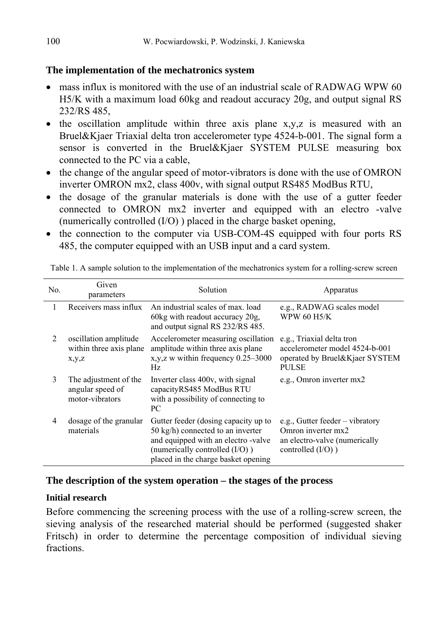## **The implementation of the mechatronics system**

- mass influx is monitored with the use of an industrial scale of RADWAG WPW 60 H5/K with a maximum load 60kg and readout accuracy 20g, and output signal RS 232/RS 485,
- the oscillation amplitude within three axis plane x,y,z is measured with an Bruel&Kjaer Triaxial delta tron accelerometer type 4524-b-001. The signal form a sensor is converted in the Bruel&Kjaer SYSTEM PULSE measuring box connected to the PC via a cable,
- the change of the angular speed of motor-vibrators is done with the use of OMRON inverter OMRON mx2, class 400v, with signal output RS485 ModBus RTU,
- the dosage of the granular materials is done with the use of a gutter feeder connected to OMRON mx2 inverter and equipped with an electro -valve (numerically controlled (I/O) ) placed in the charge basket opening,
- the connection to the computer via USB-COM-4S equipped with four ports RS 485, the computer equipped with an USB input and a card system.

| No. | Given<br>parameters                                          | Solution                                                                                                                                                                                            | Apparatus                                                                                                        |
|-----|--------------------------------------------------------------|-----------------------------------------------------------------------------------------------------------------------------------------------------------------------------------------------------|------------------------------------------------------------------------------------------------------------------|
| 1   | Receivers mass influx                                        | An industrial scales of max. load<br>$60\text{kg}$ with readout accuracy $20\text{g}$ ,<br>and output signal RS 232/RS 485.                                                                         | e.g., RADWAG scales model<br>WPW 60 H5/K                                                                         |
| 2   | oscillation amplitude<br>within three axis plane<br>x,y,z    | Accelerometer measuring oscillation<br>amplitude within three axis plane<br>$x, y, z$ w within frequency 0.25–3000<br>Hz                                                                            | e.g., Triaxial delta tron<br>accelerometer model 4524-b-001<br>operated by Bruel&Kjaer SYSTEM<br><b>PULSE</b>    |
| 3   | The adjustment of the<br>angular speed of<br>motor-vibrators | Inverter class 400v, with signal<br>capacityRS485 ModBus RTU<br>with a possibility of connecting to<br>PC.                                                                                          | e.g., Omron inverter mx2                                                                                         |
| 4   | dosage of the granular<br>materials                          | Gutter feeder (dosing capacity up to<br>$50 \text{ kg/h}$ ) connected to an inverter<br>and equipped with an electro-valve<br>(numerically controlled (I/O))<br>placed in the charge basket opening | e.g., Gutter feeder $-$ vibratory<br>Omron inverter mx2<br>an electro-valve (numerically<br>controlled $(I/O)$ ) |

Table 1. A sample solution to the implementation of the mechatronics system for a rolling-screw screen

#### **The description of the system operation – the stages of the process**

#### **Initial research**

Before commencing the screening process with the use of a rolling-screw screen, the sieving analysis of the researched material should be performed (suggested shaker Fritsch) in order to determine the percentage composition of individual sieving fractions.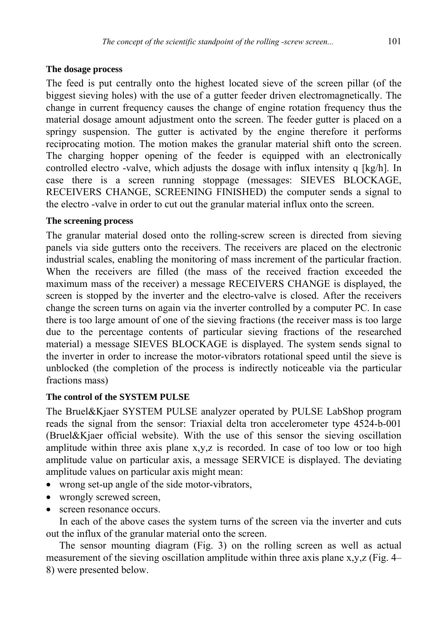#### **The dosage process**

The feed is put centrally onto the highest located sieve of the screen pillar (of the biggest sieving holes) with the use of a gutter feeder driven electromagnetically. The change in current frequency causes the change of engine rotation frequency thus the material dosage amount adjustment onto the screen. The feeder gutter is placed on a springy suspension. The gutter is activated by the engine therefore it performs reciprocating motion. The motion makes the granular material shift onto the screen. The charging hopper opening of the feeder is equipped with an electronically controlled electro -valve, which adjusts the dosage with influx intensity q [kg/h]. In case there is a screen running stoppage (messages: SIEVES BLOCKAGE, RECEIVERS CHANGE, SCREENING FINISHED) the computer sends a signal to the electro -valve in order to cut out the granular material influx onto the screen.

## **The screening process**

The granular material dosed onto the rolling-screw screen is directed from sieving panels via side gutters onto the receivers. The receivers are placed on the electronic industrial scales, enabling the monitoring of mass increment of the particular fraction. When the receivers are filled (the mass of the received fraction exceeded the maximum mass of the receiver) a message RECEIVERS CHANGE is displayed, the screen is stopped by the inverter and the electro-valve is closed. After the receivers change the screen turns on again via the inverter controlled by a computer PC. In case there is too large amount of one of the sieving fractions (the receiver mass is too large due to the percentage contents of particular sieving fractions of the researched material) a message SIEVES BLOCKAGE is displayed. The system sends signal to the inverter in order to increase the motor-vibrators rotational speed until the sieve is unblocked (the completion of the process is indirectly noticeable via the particular fractions mass)

## **The control of the SYSTEM PULSE**

The Bruel&Kjaer SYSTEM PULSE analyzer operated by PULSE LabShop program reads the signal from the sensor: Triaxial delta tron accelerometer type 4524-b-001 (Bruel&Kjaer official website). With the use of this sensor the sieving oscillation amplitude within three axis plane  $x,y,z$  is recorded. In case of too low or too high amplitude value on particular axis, a message SERVICE is displayed. The deviating amplitude values on particular axis might mean:

- wrong set-up angle of the side motor-vibrators,
- wrongly screwed screen.
- screen resonance occurs.

In each of the above cases the system turns of the screen via the inverter and cuts out the influx of the granular material onto the screen.

The sensor mounting diagram (Fig. 3) on the rolling screen as well as actual measurement of the sieving oscillation amplitude within three axis plane x,y,z (Fig. 4– 8) were presented below.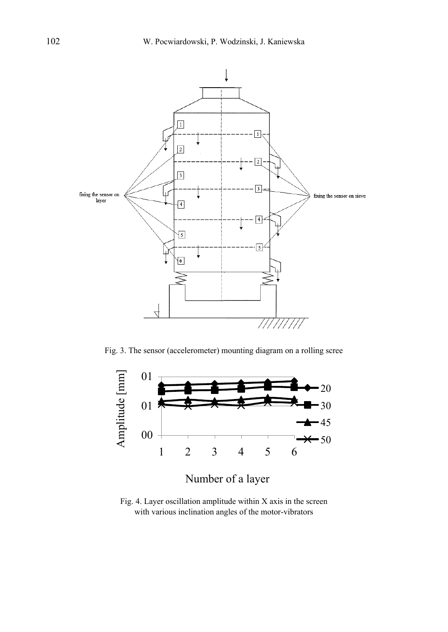

Fig. 3. The sensor (accelerometer) mounting diagram on a rolling scree



Fig. 4. Layer oscillation amplitude within X axis in the screen with various inclination angles of the motor-vibrators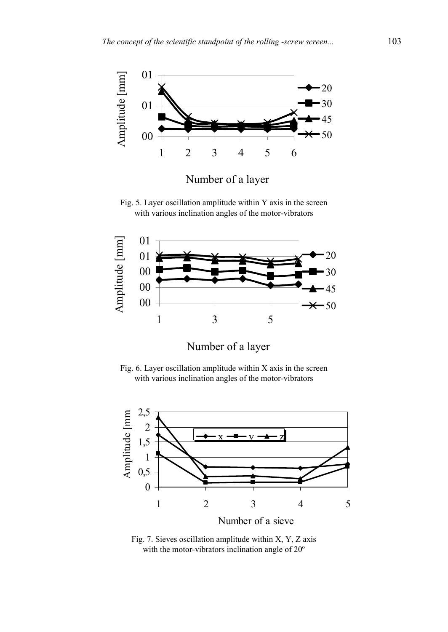

Number of a layer

Fig. 5. Layer oscillation amplitude within Y axis in the screen with various inclination angles of the motor-vibrators



Number of a layer

Fig. 6. Layer oscillation amplitude within X axis in the screen with various inclination angles of the motor-vibrators



Fig. 7. Sieves oscillation amplitude within X, Y, Z axis with the motor-vibrators inclination angle of 20º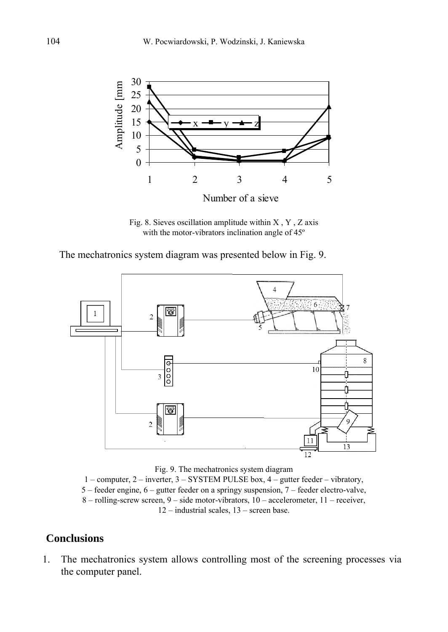

Fig. 8. Sieves oscillation amplitude within X , Y , Z axis with the motor-vibrators inclination angle of 45º

The mechatronics system diagram was presented below in Fig. 9.



Fig. 9. The mechatronics system diagram

1 – computer, 2 – inverter, 3 – SYSTEM PULSE box, 4 – gutter feeder – vibratory, 5 – feeder engine, 6 – gutter feeder on a springy suspension, 7 – feeder electro-valve, 8 – rolling-screw screen, 9 – side motor-vibrators, 10 – accelerometer, 11 – receiver, 12 – industrial scales, 13 – screen base.

# **Conclusions**

1. The mechatronics system allows controlling most of the screening processes via the computer panel.